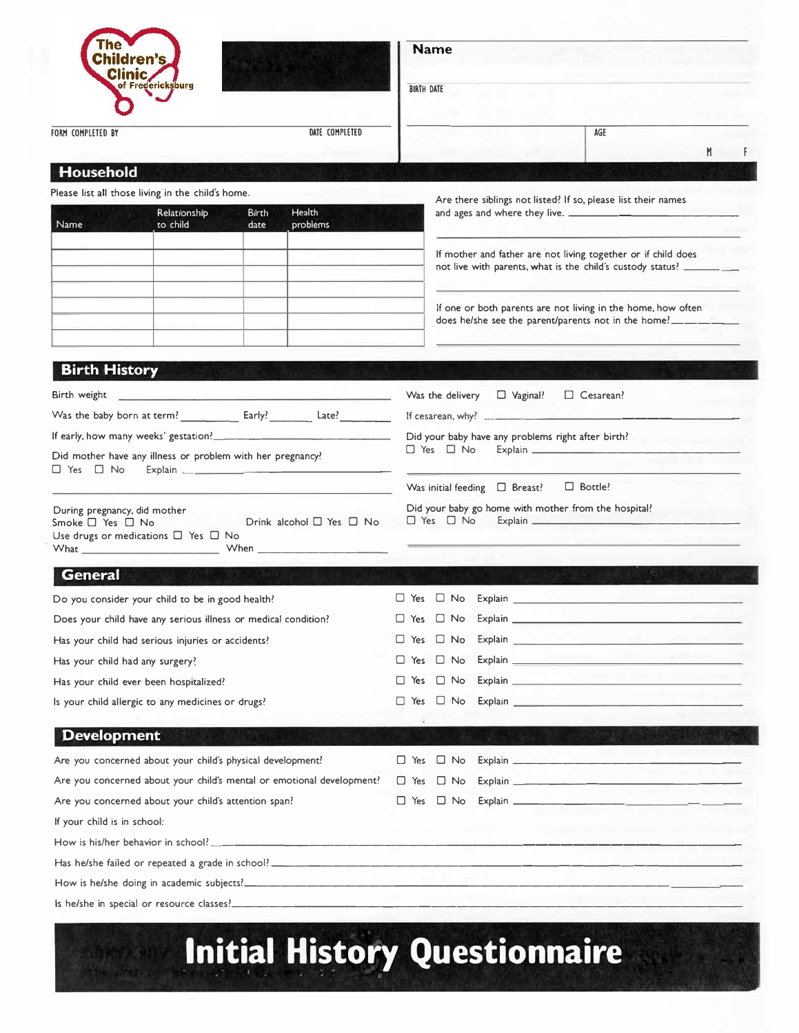| Children's<br>Clinic<br>of Fredericksburg                                                                                                                                                                                                                                                                                                                                                |                                    | <b>Name</b><br><b>BIRTH DATE</b>                                                                                                             |   |  |  |  |  |  |  |
|------------------------------------------------------------------------------------------------------------------------------------------------------------------------------------------------------------------------------------------------------------------------------------------------------------------------------------------------------------------------------------------|------------------------------------|----------------------------------------------------------------------------------------------------------------------------------------------|---|--|--|--|--|--|--|
| FORM COMPLETED BY                                                                                                                                                                                                                                                                                                                                                                        | DATE COMPLETED                     | AGE                                                                                                                                          | M |  |  |  |  |  |  |
| Household                                                                                                                                                                                                                                                                                                                                                                                |                                    |                                                                                                                                              |   |  |  |  |  |  |  |
| Please list all those living in the child's home.                                                                                                                                                                                                                                                                                                                                        |                                    |                                                                                                                                              |   |  |  |  |  |  |  |
| Relationship                                                                                                                                                                                                                                                                                                                                                                             | <b>Health</b><br>Birth             | Are there siblings not listed? If so, please list their names                                                                                |   |  |  |  |  |  |  |
| to child<br>Name                                                                                                                                                                                                                                                                                                                                                                         | problems<br>date                   |                                                                                                                                              |   |  |  |  |  |  |  |
|                                                                                                                                                                                                                                                                                                                                                                                          |                                    | If mother and father are not living together or if child does                                                                                |   |  |  |  |  |  |  |
|                                                                                                                                                                                                                                                                                                                                                                                          |                                    | not live with parents, what is the child's custody status? _________                                                                         |   |  |  |  |  |  |  |
|                                                                                                                                                                                                                                                                                                                                                                                          |                                    |                                                                                                                                              |   |  |  |  |  |  |  |
|                                                                                                                                                                                                                                                                                                                                                                                          |                                    | If one or both parents are not living in the home, how often<br>does he/she see the parent/parents not in the home?_______                   |   |  |  |  |  |  |  |
|                                                                                                                                                                                                                                                                                                                                                                                          |                                    |                                                                                                                                              |   |  |  |  |  |  |  |
| <b>Birth History</b>                                                                                                                                                                                                                                                                                                                                                                     |                                    |                                                                                                                                              |   |  |  |  |  |  |  |
|                                                                                                                                                                                                                                                                                                                                                                                          |                                    |                                                                                                                                              |   |  |  |  |  |  |  |
|                                                                                                                                                                                                                                                                                                                                                                                          |                                    | $\Box$ Vaginal?<br>$\Box$ Cesarean?<br>Was the delivery                                                                                      |   |  |  |  |  |  |  |
|                                                                                                                                                                                                                                                                                                                                                                                          |                                    | Did your baby have any problems right after birth?                                                                                           |   |  |  |  |  |  |  |
| Did mother have any illness or problem with her pregnancy?                                                                                                                                                                                                                                                                                                                               |                                    | and the track of the control of the<br>$\Box$ Yes $\Box$ No                                                                                  |   |  |  |  |  |  |  |
| $\square$ Yes $\square$ No                                                                                                                                                                                                                                                                                                                                                               |                                    |                                                                                                                                              |   |  |  |  |  |  |  |
|                                                                                                                                                                                                                                                                                                                                                                                          |                                    |                                                                                                                                              |   |  |  |  |  |  |  |
|                                                                                                                                                                                                                                                                                                                                                                                          |                                    | $\Box$ Bottle?<br>Was initial feeding $\Box$ Breast?                                                                                         |   |  |  |  |  |  |  |
| During pregnancy, did mother                                                                                                                                                                                                                                                                                                                                                             |                                    | Did your baby go home with mother from the hospital?                                                                                         |   |  |  |  |  |  |  |
|                                                                                                                                                                                                                                                                                                                                                                                          | Drink alcohol $\Box$ Yes $\Box$ No | $\Box$ Yes $\Box$ No                                                                                                                         |   |  |  |  |  |  |  |
|                                                                                                                                                                                                                                                                                                                                                                                          |                                    |                                                                                                                                              |   |  |  |  |  |  |  |
| <b>General</b>                                                                                                                                                                                                                                                                                                                                                                           |                                    | an sa sa                                                                                                                                     |   |  |  |  |  |  |  |
|                                                                                                                                                                                                                                                                                                                                                                                          |                                    | Since The Explain State of the Explain                                                                                                       |   |  |  |  |  |  |  |
|                                                                                                                                                                                                                                                                                                                                                                                          |                                    | $\Box$ No<br>$\Box$ Yes                                                                                                                      |   |  |  |  |  |  |  |
|                                                                                                                                                                                                                                                                                                                                                                                          |                                    | $\Box$ No<br>$\Box$ Yes                                                                                                                      |   |  |  |  |  |  |  |
|                                                                                                                                                                                                                                                                                                                                                                                          |                                    | Explain <b>Explain</b><br>$\Box$ Yes<br>$\Box$ No                                                                                            |   |  |  |  |  |  |  |
|                                                                                                                                                                                                                                                                                                                                                                                          |                                    | $\Box$ Yes $\Box$ No                                                                                                                         |   |  |  |  |  |  |  |
|                                                                                                                                                                                                                                                                                                                                                                                          |                                    | Explain entrance and the contract of the contract of the contract of the contract of the contract of the contract of<br>$\Box$ Yes $\Box$ No |   |  |  |  |  |  |  |
| Smoke $\Box$ Yes $\Box$ No<br>Use drugs or medications $\Box$ Yes $\Box$ No<br>Do you consider your child to be in good health?<br>Does your child have any serious illness or medical condition?<br>Has your child had serious injuries or accidents?<br>Has your child had any surgery?<br>Has your child ever been hospitalized?<br>Is your child allergic to any medicines or drugs? |                                    |                                                                                                                                              |   |  |  |  |  |  |  |
| <b>Development</b>                                                                                                                                                                                                                                                                                                                                                                       |                                    |                                                                                                                                              |   |  |  |  |  |  |  |
|                                                                                                                                                                                                                                                                                                                                                                                          |                                    | $\Box$ Yes $\Box$ No                                                                                                                         |   |  |  |  |  |  |  |
|                                                                                                                                                                                                                                                                                                                                                                                          |                                    | T Yes T No Explain                                                                                                                           |   |  |  |  |  |  |  |
|                                                                                                                                                                                                                                                                                                                                                                                          |                                    | □ Yes □ No Explain <u>________________</u> _______                                                                                           |   |  |  |  |  |  |  |
| Are you concerned about your child's physical development?<br>Are you concerned about your child's mental or emotional development?<br>Are you concerned about your child's attention span?<br>If your child is in school:                                                                                                                                                               |                                    | believes an Aug common and sub-                                                                                                              |   |  |  |  |  |  |  |
|                                                                                                                                                                                                                                                                                                                                                                                          |                                    |                                                                                                                                              |   |  |  |  |  |  |  |
|                                                                                                                                                                                                                                                                                                                                                                                          |                                    |                                                                                                                                              |   |  |  |  |  |  |  |

## **Initial History Questionnaire**